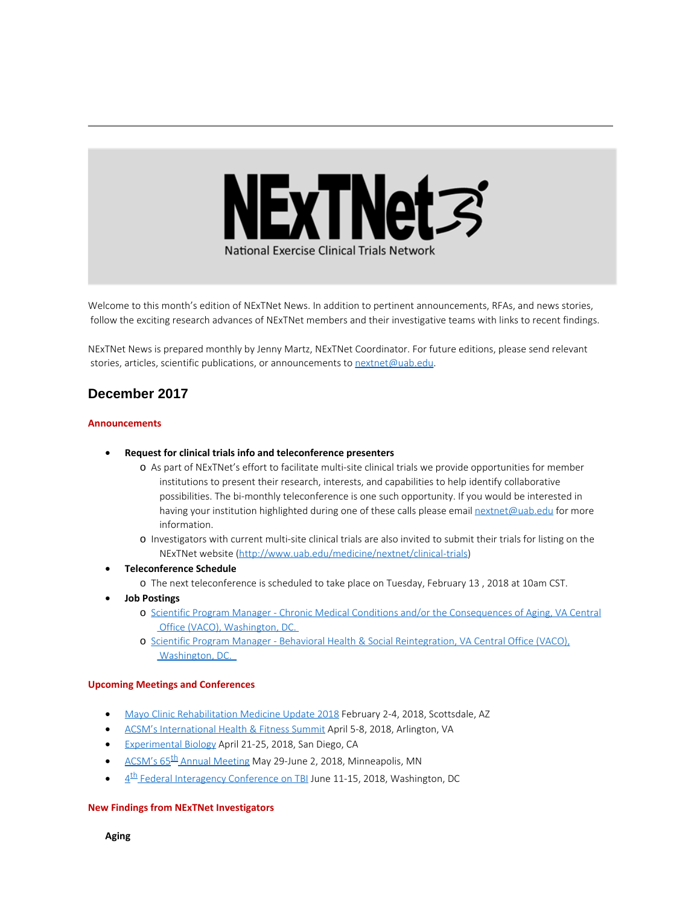

Welcome to this month's edition of NExTNet News. In addition to pertinent announcements, RFAs, and news stories, follow the exciting research advances of NExTNet members and their investigative teams with links to recent findings.

NExTNet News is prepared monthly by Jenny Martz, NExTNet Coordinator. For future editions, please send relevant stories, articles, scientific publications, or announcements to [nextnet@uab.edu](mailto:nextnet@uab.edu).

# **December 2017**

#### **Announcements**

- · **Request for clinical trials info and teleconference presenters**
	- o As part of NExTNet's effort to facilitate multi-site clinical trials we provide opportunities for member institutions to present their research, interests, and capabilities to help identify collaborative possibilities. The bi-monthly teleconference is one such opportunity. If you would be interested in having your institution highlighted during one of these calls please email [nextnet@uab.edu](mailto:nextnet@uab.edu) for more information.
	- o Investigators with current multi-site clinical trials are also invited to submit their trials for listing on the NExTNet website [\(http://www.uab.edu/medicine/nextnet/clinical-trials](http://www.uab.edu/medicine/nextnet/clinical-trials))
- · **Teleconference Schedule**
	- o The next teleconference is scheduled to take place on Tuesday, February 13 , 2018 at 10am CST.
- · **Job Postings**
	- o Scientific Program Manager Chronic Medical Conditions and/or the [Consequences](https://www.usajobs.gov/GetJob/ViewDetails/487069500) of Aging, VA Central Office (VACO), [Washington,](https://www.usajobs.gov/GetJob/ViewDetails/487069500) DC.
	- o Scientific Program Manager Behavioral Health & Social [Reintegration,](https://www.usajobs.gov/GetJob/ViewDetails/487069100) VA Central Office (VACO), [Washington,](https://www.usajobs.gov/GetJob/ViewDetails/487069100) DC.

#### **Upcoming Meetings and Conferences**

- · Mayo Clinic [Rehabilitation](https://ce.mayo.edu/physical-medicine-and-rehabilitation/content/rehabilitation-medicine-update-2018) Medicine Update 2018 February 2-4, 2018, Scottsdale, AZ
- · ACSM's [International](http://acsmsummit.org/) Health & Fitness Summit April 5-8, 2018, Arlington, VA
- · [Experimental](http://experimentalbiology.org/2018/Home.aspx) Biology April 21-25, 2018, San Diego, CA
- ACSM's 65<sup>th</sup> Annual [Meeting](http://www.acsmannualmeeting.org/) May 29-June 2, 2018, Minneapolis, MN
- $4<sup>th</sup>$  Federal [Interagency](https://interagencyconferencetbi.org/?utm_source=Email_marketing&utm_campaign=Monday_September_18_2017&cmp=1&utm_medium=HTMLEmail) Conference on TBI June 11-15, 2018, Washington, DC

#### **New Findings from NExTNet Investigators**

**Aging**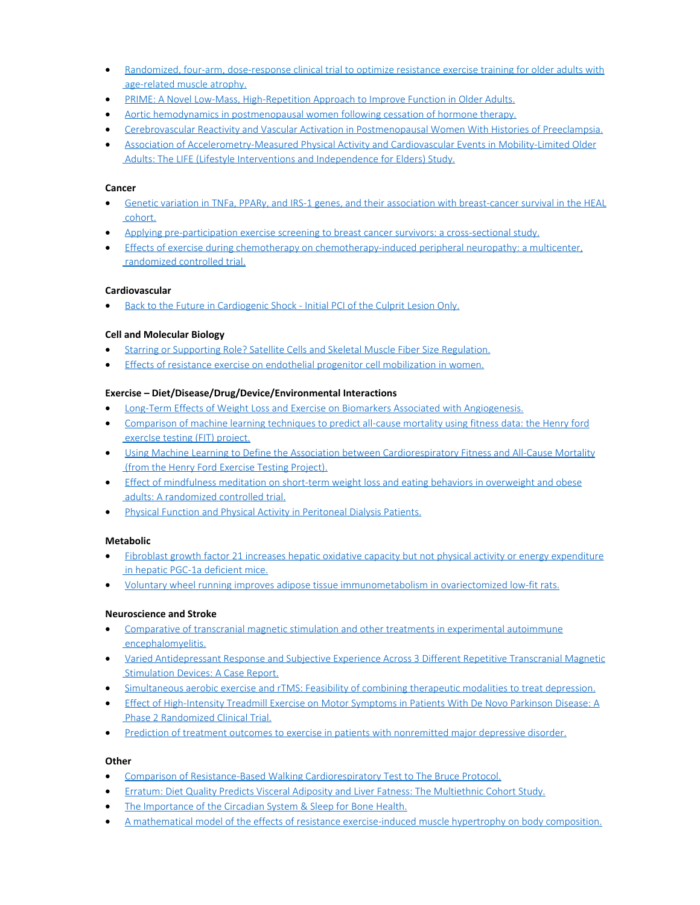- Randomized, four-arm, [dose-response](https://www.ncbi.nlm.nih.gov/pubmed/28964826) clinical trial to optimize resistance exercise training for older adults with [age-related](https://www.ncbi.nlm.nih.gov/pubmed/28964826) muscle atrophy.
- · PRIME: A Novel Low-Mass, [High-Repetition](https://www.ncbi.nlm.nih.gov/pubmed/29232316) Approach to Improve Function in Older Adults.
- Aortic hemodynamics in [postmenopausal](https://www.ncbi.nlm.nih.gov/pubmed/29208690) women following cessation of hormone therapy.
- · Cerebrovascular Reactivity and Vascular Activation in [Postmenopausal](https://www.ncbi.nlm.nih.gov/pubmed/29158356) Women With Histories of Preeclampsia.
- · Association of [Accelerometry-Measured](https://www.ncbi.nlm.nih.gov/pubmed/29197830) Physical Activity and Cardiovascular Events in Mobility-Limited Older Adults: The LIFE (Lifestyle Interventions and [Independence](https://www.ncbi.nlm.nih.gov/pubmed/29197830) for Elders) Study.

## **Cancer**

- · Genetic variation in TNFa, PPARγ, and IRS-1 genes, and their association with [breast-cancer](https://www.ncbi.nlm.nih.gov/pubmed/29256014) survival in the HEAL [cohort.](https://www.ncbi.nlm.nih.gov/pubmed/29256014)
- · Applying [pre-participation](https://www.ncbi.nlm.nih.gov/pubmed/29260391) exercise screening to breast cancer survivors: a cross-sectional study.
- · Effects of exercise during chemotherapy on [chemotherapy-induced](https://www.ncbi.nlm.nih.gov/pubmed/29243164) peripheral neuropathy: a multicenter, [randomized](https://www.ncbi.nlm.nih.gov/pubmed/29243164) controlled trial.

#### **Cardiovascular**

· Back to the Future in [Cardiogenic](https://www.ncbi.nlm.nih.gov/pubmed/29083965) Shock - Initial PCI of the Culprit Lesion Only.

## **Cell and Molecular Biology**

- Starring or Supporting Role? Satellite Cells and Skeletal Muscle Fiber Size [Regulation.](https://www.ncbi.nlm.nih.gov/pubmed/29212890)
- Effects of resistance exercise on endothelial progenitor cell [mobilization](https://www.ncbi.nlm.nih.gov/pubmed/29259281) in women.

## **Exercise – Diet/Disease/Drug/Device/Environmental Interactions**

- · Long-Term Effects of Weight Loss and Exercise on Biomarkers Associated with [Angiogenesis.](https://www.ncbi.nlm.nih.gov/pubmed/29042415)
- · [Comparison](https://www.ncbi.nlm.nih.gov/pubmed/29258510) of machine learning techniques to predict all-cause mortality using fitness data: the Henry ford [exercIse](https://www.ncbi.nlm.nih.gov/pubmed/29258510) testing (FIT) project.
- · Using Machine Learning to Define the Association between [Cardiorespiratory](https://www.ncbi.nlm.nih.gov/pubmed/28951020) Fitness and All-Cause Mortality (from the Henry Ford Exercise Testing [Project\).](https://www.ncbi.nlm.nih.gov/pubmed/28951020)
- Effect of [mindfulness](https://www.ncbi.nlm.nih.gov/pubmed/29211681) meditation on short-term weight loss and eating behaviors in overweight and obese adults: A [randomized](https://www.ncbi.nlm.nih.gov/pubmed/29211681) controlled trial.
- · Physical Function and Physical Activity in [Peritoneal](https://www.ncbi.nlm.nih.gov/pubmed/28970364) Dialysis Patients.

# **Metabolic**

- Fibroblast growth factor 21 increases hepatic oxidative capacity but not physical activity or energy [expenditure](https://www.ncbi.nlm.nih.gov/pubmed/29215172) in hepatic [PGC-1α deficient](https://www.ncbi.nlm.nih.gov/pubmed/29215172) mice.
- · Voluntary wheel running improves adipose tissue [immunometabolism](https://www.ncbi.nlm.nih.gov/pubmed/29226756) in ovariectomized low-fit rats.

#### **Neuroscience and Stroke**

- · Comparative of transcranial magnetic stimulation and other treatments in [experimental](https://www.ncbi.nlm.nih.gov/pubmed/29198860) autoimmune [encephalomyelitis.](https://www.ncbi.nlm.nih.gov/pubmed/29198860)
- · Varied [Antidepressant](https://www.ncbi.nlm.nih.gov/pubmed/29190225) Response and Subjective Experience Across 3 Different Repetitive Transcranial Magnetic [Stimulation](https://www.ncbi.nlm.nih.gov/pubmed/29190225) Devices: A Case Report.
- · [Simultaneous](https://www.ncbi.nlm.nih.gov/pubmed/29126945) aerobic exercise and rTMS: Feasibility of combining therapeutic modalities to treat depression.
- · Effect of [High-Intensity](https://www.ncbi.nlm.nih.gov/pubmed/29228079) Treadmill Exercise on Motor Symptoms in Patients With De Novo Parkinson Disease: A Phase 2 [Randomized](https://www.ncbi.nlm.nih.gov/pubmed/29228079) Clinical Trial.
- · Prediction of treatment outcomes to exercise in patients with [nonremitted](https://www.ncbi.nlm.nih.gov/pubmed/28672073) major depressive disorder.

#### **Other**

- · Comparison of Resistance-Based Walking [Cardiorespiratory](https://www.ncbi.nlm.nih.gov/pubmed/29239992) Test to The Bruce Protocol.
- · Erratum: Diet Quality Predicts Visceral Adiposity and Liver Fatness: The [Multiethnic](https://www.ncbi.nlm.nih.gov/pubmed/29265777) Cohort Study.
- · The [Importance](https://www.ncbi.nlm.nih.gov/pubmed/29229227) of the Circadian System & Sleep for Bone Health.
- · A mathematical model of the effects of resistance [exercise-induced](https://www.ncbi.nlm.nih.gov/pubmed/29256047) muscle hypertrophy on body composition.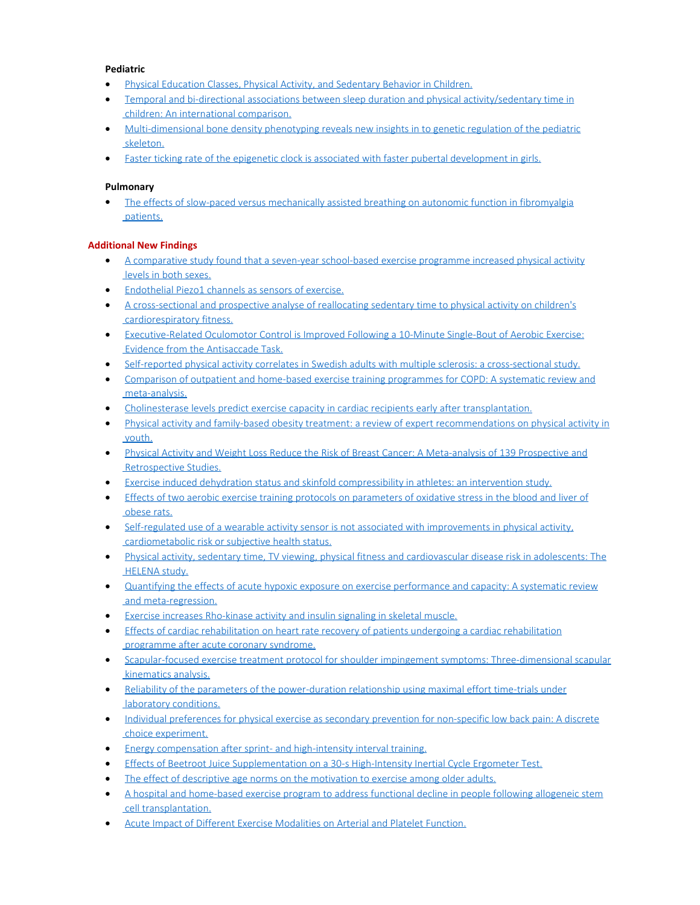# **Pediatric**

- · Physical Education Classes, Physical Activity, and [Sedentary](https://www.ncbi.nlm.nih.gov/pubmed/29252970) Behavior in Children.
- Temporal and bi-directional associations between sleep duration and physical [activity/sedentary](https://www.ncbi.nlm.nih.gov/pubmed/29223790) time in children: An [international](https://www.ncbi.nlm.nih.gov/pubmed/29223790) comparison.
- · [Multi-dimensional](https://www.ncbi.nlm.nih.gov/pubmed/29240982) bone density phenotyping reveals new insights in to genetic regulation of the pediatric [skeleton.](https://www.ncbi.nlm.nih.gov/pubmed/29240982)
- · Faster ticking rate of the epigenetic clock is associated with faster pubertal [development](https://www.ncbi.nlm.nih.gov/pubmed/29235933) in girls.

# **Pulmonary**

• The effects of slow-paced versus [mechanically](https://www.ncbi.nlm.nih.gov/pubmed/29263690) assisted breathing on autonomic function in fibromyalgia [patients.](https://www.ncbi.nlm.nih.gov/pubmed/29263690)

# **Additional New Findings**

- · A comparative study found that a seven-year [school-based](http://www.ncbi.nlm.nih.gov/pubmed/29194764) exercise programme increased physical activity levels in both [sexes.](http://www.ncbi.nlm.nih.gov/pubmed/29194764)
- · [Endothelial](http://www.ncbi.nlm.nih.gov/pubmed/29194632) Piezo1 channels as sensors of exercise.
- · A [cross-sectional](http://www.ncbi.nlm.nih.gov/pubmed/29192846) and prospective analyse of reallocating sedentary time to physical activity on children's [cardiorespiratory](http://www.ncbi.nlm.nih.gov/pubmed/29192846) fitness.
- · [Executive-Related](http://www.ncbi.nlm.nih.gov/pubmed/29191783) Oculomotor Control is Improved Following a 10-Minute Single-Bout of Aerobic Exercise: Evidence from the [Antisaccade](http://www.ncbi.nlm.nih.gov/pubmed/29191783) Task.
- · Self-reported physical activity correlates in Swedish adults with multiple sclerosis: a [cross-sectional](http://www.ncbi.nlm.nih.gov/pubmed/29191168) study.
- · Comparison of outpatient and home-based exercise training [programmes](http://www.ncbi.nlm.nih.gov/pubmed/29194864) for COPD: A systematic review and [meta-analysis.](http://www.ncbi.nlm.nih.gov/pubmed/29194864)
- · Cholinesterase levels predict exercise capacity in cardiac recipients early after [transplantation.](http://www.ncbi.nlm.nih.gov/pubmed/29194762)
- · Physical activity and family-based obesity treatment: a review of expert [recommendations](http://www.ncbi.nlm.nih.gov/pubmed/29224232) on physical activity in [youth.](http://www.ncbi.nlm.nih.gov/pubmed/29224232)
- · Physical Activity and Weight Loss Reduce the Risk of Breast Cancer: A [Meta-analysis](http://www.ncbi.nlm.nih.gov/pubmed/29223719) of 139 Prospective and [Retrospective](http://www.ncbi.nlm.nih.gov/pubmed/29223719) Studies.
- Exercise induced dehydration status and skinfold [compressibility](http://www.ncbi.nlm.nih.gov/pubmed/29222898) in athletes: an intervention study.
- · Effects of two aerobic exercise training protocols on [parameters](http://www.ncbi.nlm.nih.gov/pubmed/29222739) of oxidative stress in the blood and liver of [obese](http://www.ncbi.nlm.nih.gov/pubmed/29222739) rats.
- · Self-regulated use of a wearable activity sensor is not associated with [improvements](http://www.ncbi.nlm.nih.gov/pubmed/29222201) in physical activity, [cardiometabolic](http://www.ncbi.nlm.nih.gov/pubmed/29222201) risk or subjective health status.
- · Physical activity, sedentary time, TV viewing, physical fitness and [cardiovascular](http://www.ncbi.nlm.nih.gov/pubmed/29221862) disease risk in adolescents: The [HELENA](http://www.ncbi.nlm.nih.gov/pubmed/29221862) study.
- · Quantifying the effects of acute hypoxic exposure on exercise [performance](http://www.ncbi.nlm.nih.gov/pubmed/29220311) and capacity: A systematic review and [meta-regression.](http://www.ncbi.nlm.nih.gov/pubmed/29220311)
- Exercise increases [Rho-kinase](http://www.ncbi.nlm.nih.gov/pubmed/29219181) activity and insulin signaling in skeletal muscle.
- · Effects of cardiac [rehabilitation](http://www.ncbi.nlm.nih.gov/pubmed/29223653) on heart rate recovery of patients undergoing a cardiac rehabilitation [programme](http://www.ncbi.nlm.nih.gov/pubmed/29223653) after acute coronary syndrome.
- · Scapular-focused exercise treatment protocol for shoulder impingement symptoms: [Three-dimensional](http://www.ncbi.nlm.nih.gov/pubmed/29245139) scapular [kinematics](http://www.ncbi.nlm.nih.gov/pubmed/29245139) analysis.
- · Reliability of the parameters of the [power-duration](http://www.ncbi.nlm.nih.gov/pubmed/29244861) relationship using maximal effort time-trials under laboratory [conditions.](http://www.ncbi.nlm.nih.gov/pubmed/29244861)
- · Individual preferences for physical exercise as secondary prevention for [non-specific](http://www.ncbi.nlm.nih.gov/pubmed/29244841) low back pain: A discrete choice [experiment.](http://www.ncbi.nlm.nih.gov/pubmed/29244841)
- Energy [compensation](http://www.ncbi.nlm.nih.gov/pubmed/29244836) after sprint- and high-intensity interval training.
- · Effects of Beetroot Juice [Supplementation](http://www.ncbi.nlm.nih.gov/pubmed/29244746) on a 30-s High-Intensity Inertial Cycle Ergometer Test.
- The effect of [descriptive](http://www.ncbi.nlm.nih.gov/pubmed/29244112) age norms on the motivation to exercise among older adults.
- A hospital and [home-based](http://www.ncbi.nlm.nih.gov/pubmed/29243166) exercise program to address functional decline in people following allogeneic stem cell [transplantation.](http://www.ncbi.nlm.nih.gov/pubmed/29243166)
- Acute Impact of Different Exercise [Modalities](http://www.ncbi.nlm.nih.gov/pubmed/29240651) on Arterial and Platelet Function.